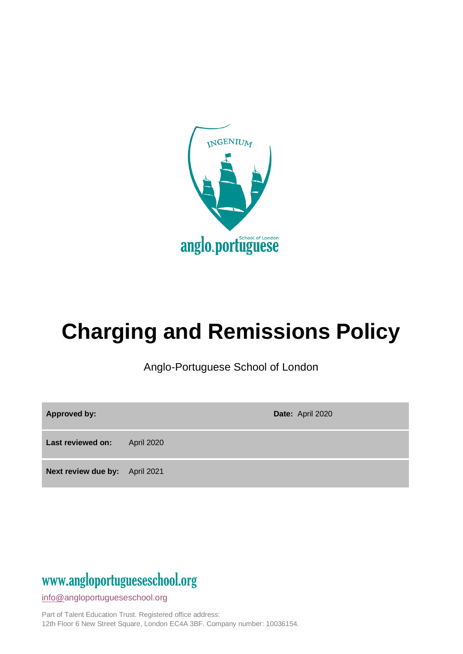

# **Charging and Remissions Policy**

Anglo-Portuguese School of London

| Approved by:                   |                   | Date: April 2020 |
|--------------------------------|-------------------|------------------|
| Last reviewed on:              | <b>April 2020</b> |                  |
| Next review due by: April 2021 |                   |                  |

# www[.angloportugueseschool.org](https://angloportugueseschool.org/)

[info@a](mailto:info@)ngloportugueseschool.org

Part of Talent Education Trust. Registered office address: 12th Floor 6 New Street Square, London EC4A 3BF. Company number: 10036154.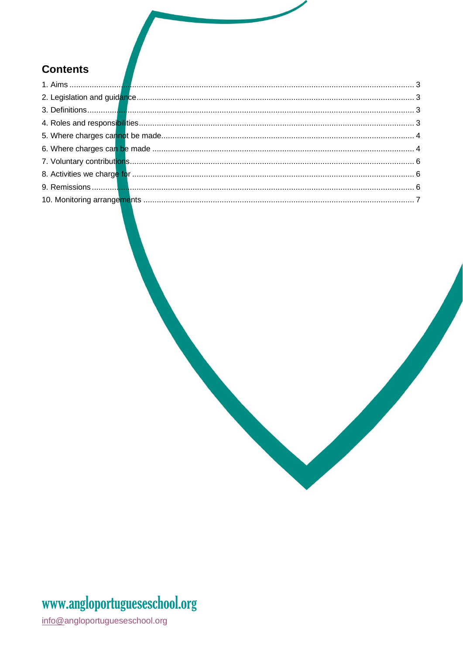#### **Contents**

<span id="page-1-0"></span>

# www.angloportugueseschool.org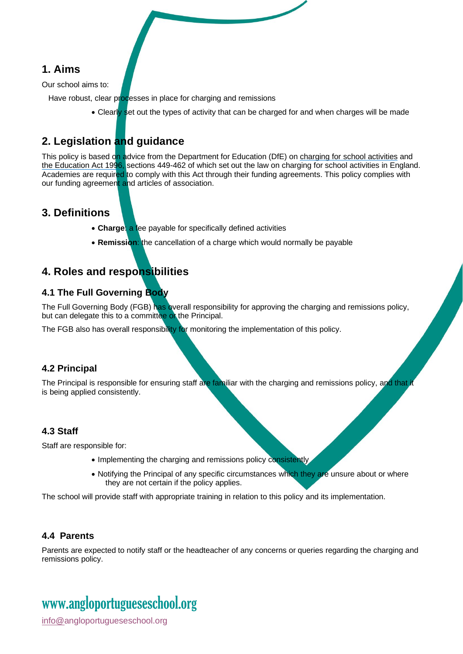#### **1. Aims**

Our school aims to:

Have robust, clear processes in place for charging and remissions

• Clearly set out the types of activity that can be charged for and when charges will be made

#### <span id="page-2-0"></span>**2. Legislation and guidance**

This policy is based on advice from the Department for Education (DfE) o[n charging for school activities](https://www.gov.uk/government/publications/charging-for-school-activities) and [the Education Act 1996,](http://www.legislation.gov.uk/ukpga/1996/56/part/VI/chapter/III) sections 449-462 of which set out the law on charging for school activities in England. Academies are required to comply with this Act through their funding agreements. This policy complies with our funding agreement and articles of association.

#### <span id="page-2-1"></span>**3. Definitions**

- **Charge**: a fee payable for specifically defined activities
- **Remission**: the cancellation of a charge which would normally be payable

#### <span id="page-2-2"></span>**4. Roles and responsibilities**

#### **4.1 The Full Governing Body**

The Full Governing Body (FGB) has overall responsibility for approving the charging and remissions policy, but can delegate this to a committee of the Principal.

The FGB also has overall responsibility for monitoring the implementation of this policy.

#### **4.2 Principal**

The Principal is responsible for ensuring staff are familiar with the charging and remissions policy, and that it is being applied consistently.

#### **4.3 Staff**

Staff are responsible for:

- Implementing the charging and remissions policy consistently.
- Notifying the Principal of any specific circumstances which they are unsure about or where they are not certain if the policy applies.

The school will provide staff with appropriate training in relation to this policy and its implementation.

#### **4.4 Parents**

Parents are expected to notify staff or the headteacher of any concerns or queries regarding the charging and remissions policy.

## www[.angloportugueseschool.org](https://angloportugueseschool.org/)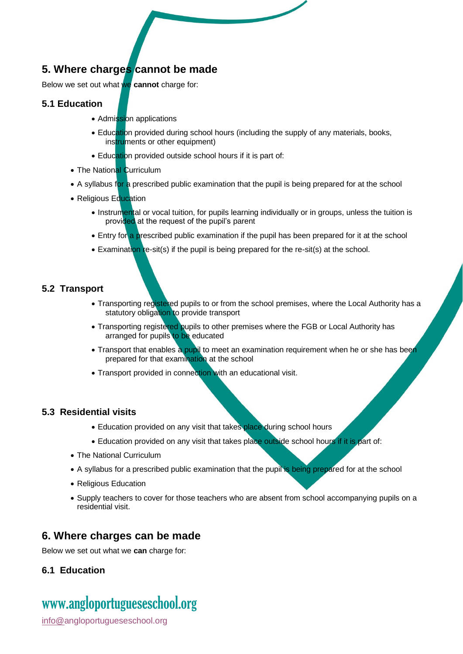#### <span id="page-3-0"></span>**5. Where charges cannot be made**

Below we set out what we **cannot** charge for:

#### **5.1 Education**

- Admission applications
- Education provided during school hours (including the supply of any materials, books, instruments or other equipment)
- Education provided outside school hours if it is part of:
- The National Curriculum
- A syllabus for a prescribed public examination that the pupil is being prepared for at the school
- Religious Education
	- Instrumental or vocal tuition, for pupils learning individually or in groups, unless the tuition is provided at the request of the pupil's parent
	- Entry for a prescribed public examination if the pupil has been prepared for it at the school
	- Examination re-sit(s) if the pupil is being prepared for the re-sit(s) at the school.

#### **5.2 Transport**

- Transporting registered pupils to or from the school premises, where the Local Authority has a statutory obligation to provide transport
- Transporting registered pupils to other premises where the FGB or Local Authority has arranged for pupils to be educated
- Transport that enables a pupil to meet an examination requirement when he or she has been prepared for that examination at the school
- Transport provided in connection with an educational visit.

#### **5.3 Residential visits**

- Education provided on any visit that takes place during school hours
- Education provided on any visit that takes place outside school hours if it is part of:
- The National Curriculum
- A syllabus for a prescribed public examination that the pupil is being prepared for at the school
- Religious Education
- Supply teachers to cover for those teachers who are absent from school accompanying pupils on a residential visit.

#### <span id="page-3-1"></span>**6. Where charges can be made**

Below we set out what we **can** charge for:

#### **6.1 Education**

### www[.angloportugueseschool.org](https://angloportugueseschool.org/)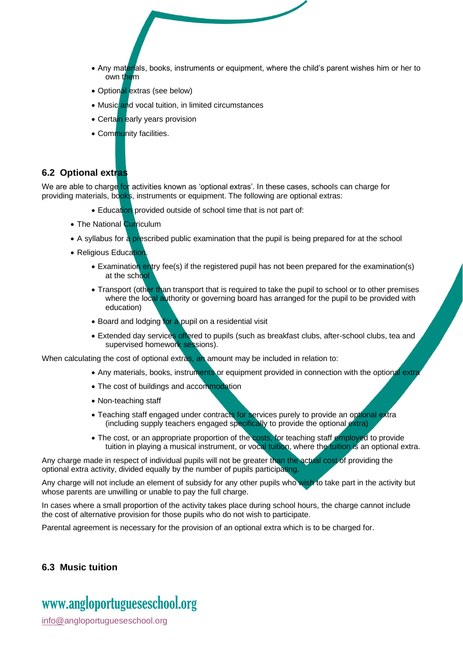- Any materials, books, instruments or equipment, where the child's parent wishes him or her to own them
- Optional extras (see below)
- Music and vocal tuition, in limited circumstances
- Certain early years provision
- Community facilities.

#### **6.2 Optional extras**

We are able to charge for activities known as 'optional extras'. In these cases, schools can charge for providing materials, books, instruments or equipment. The following are optional extras:

- Education provided outside of school time that is not part of:
- The National Curriculum
- A syllabus for a prescribed public examination that the pupil is being prepared for at the school
- Religious Education
	- Examination entry fee(s) if the registered pupil has not been prepared for the examination(s) at the school
	- Transport (other than transport that is required to take the pupil to school or to other premises where the local authority or governing board has arranged for the pupil to be provided with education)
	- Board and lodging for a pupil on a residential visit
	- Extended day services offered to pupils (such as breakfast clubs, after-school clubs, tea and supervised homework sessions).

When calculating the cost of optional extras, an amount may be included in relation to:

- Any materials, books, instruments or equipment provided in connection with the optional extra
- The cost of buildings and accommodation
- Non-teaching staff
- Teaching staff engaged under contracts for services purely to provide an optional extra (including supply teachers engaged specifically to provide the optional extra)
- The cost, or an appropriate proportion of the costs, for teaching staff employed to provide tuition in playing a musical instrument, or vocal tuition, where the tuition is an optional extra.

Any charge made in respect of individual pupils will not be greater than the actual cost of providing the optional extra activity, divided equally by the number of pupils participating.

Any charge will not include an element of subsidy for any other pupils who wish to take part in the activity but whose parents are unwilling or unable to pay the full charge.

In cases where a small proportion of the activity takes place during school hours, the charge cannot include the cost of alternative provision for those pupils who do not wish to participate.

Parental agreement is necessary for the provision of an optional extra which is to be charged for.

#### **6.3 Music tuition**

### www[.angloportugueseschool.org](https://angloportugueseschool.org/)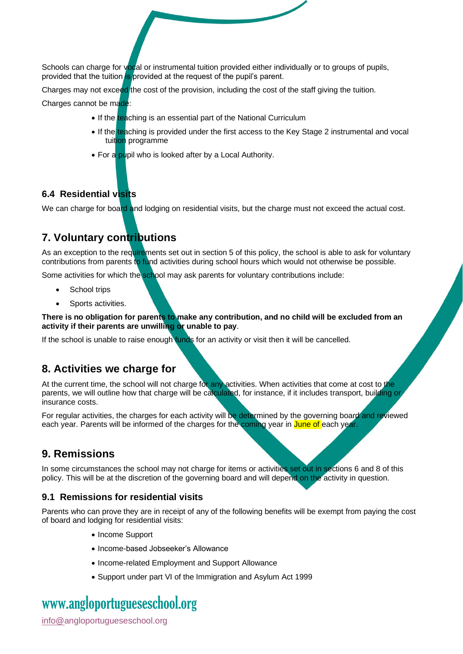Schools can charge for vocal or instrumental tuition provided either individually or to groups of pupils. provided that the tuition is provided at the request of the pupil's parent.

Charges may not exceed the cost of the provision, including the cost of the staff giving the tuition.

Charges cannot be made:

- If the teaching is an essential part of the National Curriculum
- If the teaching is provided under the first access to the Key Stage 2 instrumental and vocal tuition programme
- For a pupil who is looked after by a Local Authority.

#### **6.4 Residential visits**

We can charge for board and lodging on residential visits, but the charge must not exceed the actual cost.

#### <span id="page-5-0"></span>**7. Voluntary contributions**

As an exception to the requirements set out in section 5 of this policy, the school is able to ask for voluntary contributions from parents to fund activities during school hours which would not otherwise be possible.

Some activities for which the school may ask parents for voluntary contributions include:

- School trips
- Sports activities.

**There is no obligation for parents to make any contribution, and no child will be excluded from an activity if their parents are unwilling or unable to pay**.

If the school is unable to raise enough funds for an activity or visit then it will be cancelled.

#### <span id="page-5-1"></span>**8. Activities we charge for**

At the current time, the school will not charge for any activities. When activities that come at cost to the parents, we will outline how that charge will be calculated, for instance, if it includes transport, building or insurance costs.

For regular activities, the charges for each activity will be determined by the governing board and reviewed each year. Parents will be informed of the charges for the coming year in June of each year.

#### <span id="page-5-2"></span>**9. Remissions**

In some circumstances the school may not charge for items or activities set out in sections 6 and 8 of this policy. This will be at the discretion of the governing board and will depend on the activity in question.

#### **9.1 Remissions for residential visits**

Parents who can prove they are in receipt of any of the following benefits will be exempt from paying the cost of board and lodging for residential visits:

- Income Support
- Income-based Jobseeker's Allowance
- Income-related Employment and Support Allowance
- Support under part VI of the Immigration and Asylum Act 1999

### www[.angloportugueseschool.org](https://angloportugueseschool.org/)